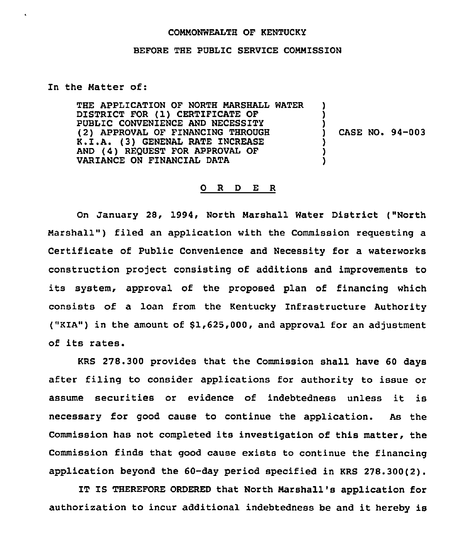## COMMONWEALTH OF KENTUCKY

## BEFORE THE PUBLIC SERVICE COMMISSION

## In the Matter of:

THE APPLICATION OF NORTH MARSHALL WATER DISTRICT FOR (1) CERTIFICATE OF PUBLIC CONVENIENCE AND NECESSITY<br>(2) APPROVAL OF FINANCING THROUGH K.I.A. (3) GENENAL RATE INCREASE AND (4) REQUEST FOR APPROVAL OF VARIANCE ON FINANCIAL DATA ) ) ) ) CASE NO. 94-003 ) ) )

## 0 R <sup>D</sup> E <sup>R</sup>

On January 28, 1994, North Marshall Water District ("North Marshall") filed an application with the Commission requesting a Certificate of Public Convenience and Necessity for a waterworks construction project consisting of additions and improvements to its system, approval of the proposed plan of financing which consists of a loan from the Kentucky Infrastructure Authority ("KIA") in the amount of \$1,625,000, and approval for an adjustment of its rates.

KRS 278.300 provides that the Commission shall have 60 days after filing to consider applications for authority to issue or assume securities or evidence of indebtedness unless it is necessary for good cause to continue the application. As the Commission has not completed its investigation of this matter, the Commission finds that good cause exists to continue the financing application beyond the 60-day period specified in KRS 278.300(2).

IT IS THEREFORE ORDERED that North Marshall's application for authorization to incur additional indebtedness be and it hereby is